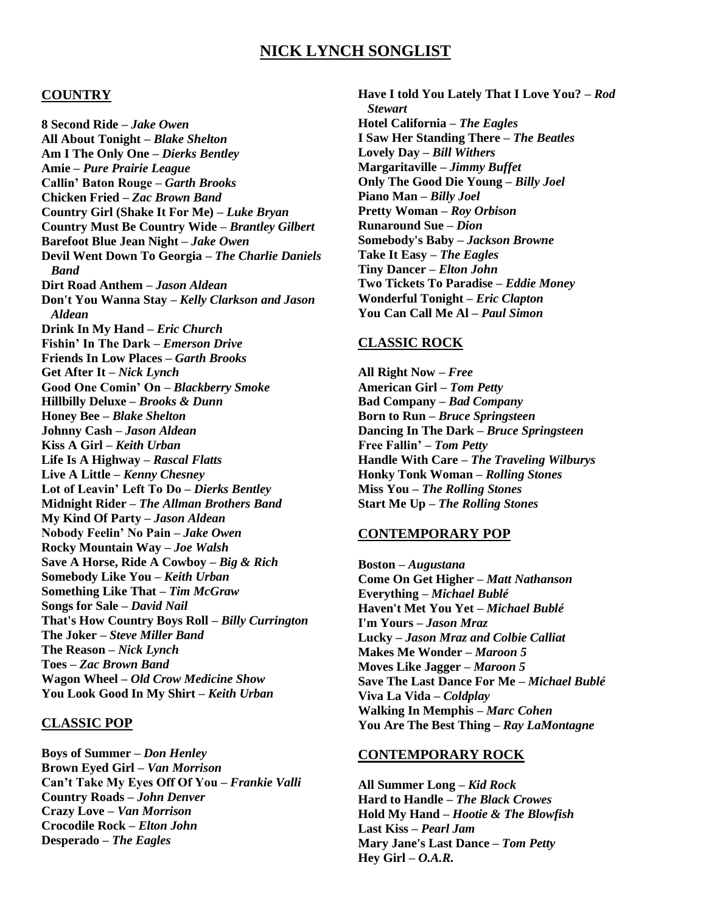# **NICK LYNCH SONGLIST**

### **COUNTRY**

**8 Second Ride** *– Jake Owen* **All About Tonight** *– Blake Shelton* **Am I The Only One** *– Dierks Bentley*  **Amie** *– Pure Prairie League* **Callin' Baton Rouge** *– Garth Brooks* **Chicken Fried** *– Zac Brown Band* **Country Girl (Shake It For Me)** *– Luke Bryan* **Country Must Be Country Wide** *– Brantley Gilbert*  **Barefoot Blue Jean Night** *– Jake Owen*  **Devil Went Down To Georgia** *– The Charlie Daniels Band* **Dirt Road Anthem** *– Jason Aldean* **Don't You Wanna Stay** *– Kelly Clarkson and Jason Aldean*  **Drink In My Hand** *– Eric Church* **Fishin' In The Dark** *– Emerson Drive* **Friends In Low Places** *– Garth Brooks* **Get After It** *– Nick Lynch* **Good One Comin' On** *– Blackberry Smoke* **Hillbilly Deluxe** *– Brooks & Dunn* **Honey Bee** *– Blake Shelton* **Johnny Cash** *– Jason Aldean* **Kiss A Girl** *– Keith Urban* **Life Is A Highway** *– Rascal Flatts*  **Live A Little** *– Kenny Chesney* **Lot of Leavin' Left To Do** *– Dierks Bentley* **Midnight Rider** *– The Allman Brothers Band* **My Kind Of Party** *– Jason Aldean* **Nobody Feelin' No Pain** *– Jake Owen* **Rocky Mountain Way** *– Joe Walsh*  **Save A Horse, Ride A Cowboy** *– Big & Rich* **Somebody Like You** *– Keith Urban*  **Something Like That** *– Tim McGraw* **Songs for Sale** *– David Nail* **That's How Country Boys Roll** *– Billy Currington* **The Joker** *– Steve Miller Band* **The Reason** *– Nick Lynch* **Toes** *– Zac Brown Band* **Wagon Wheel** *– Old Crow Medicine Show* **You Look Good In My Shirt** *– Keith Urban* 

#### **CLASSIC POP**

**Boys of Summer** *– Don Henley* **Brown Eyed Girl** *– Van Morrison*  **Can't Take My Eyes Off Of You** *– Frankie Valli*  **Country Roads** *– John Denver*  **Crazy Love** *– Van Morrison*  **Crocodile Rock** *– Elton John*  **Desperado** *– The Eagles*

**Have I told You Lately That I Love You?** *– Rod Stewart* **Hotel California** *– The Eagles*  **I Saw Her Standing There** *– The Beatles*  **Lovely Day** *– Bill Withers* **Margaritaville** *– Jimmy Buffet* **Only The Good Die Young** *– Billy Joel*  **Piano Man** *– Billy Joel* **Pretty Woman** *– Roy Orbison* **Runaround Sue** *– Dion* **Somebody's Baby** *– Jackson Browne* **Take It Easy** *– The Eagles* **Tiny Dancer** *– Elton John* **Two Tickets To Paradise** *– Eddie Money*  **Wonderful Tonight** *– Eric Clapton* **You Can Call Me Al** *– Paul Simon*

#### **CLASSIC ROCK**

**All Right Now** *– Free*  **American Girl** *– Tom Petty* **Bad Company** *– Bad Company*  **Born to Run** *– Bruce Springsteen*  **Dancing In The Dark** *– Bruce Springsteen* **Free Fallin'** *– Tom Petty* **Handle With Care** *– The Traveling Wilburys* **Honky Tonk Woman** *– Rolling Stones* **Miss You** *– The Rolling Stones*  **Start Me Up** *– The Rolling Stones*

### **CONTEMPORARY POP**

**Boston** *– Augustana* **Come On Get Higher** *– Matt Nathanson*  **Everything** *– Michael Bublé*  **Haven't Met You Yet** *– Michael Bublé*  **I'm Yours** *– Jason Mraz*  **Lucky** *– Jason Mraz and Colbie Calliat* **Makes Me Wonder** *– Maroon 5*  **Moves Like Jagger** *– Maroon 5* **Save The Last Dance For Me** *– Michael Bublé* **Viva La Vida** *– Coldplay*  **Walking In Memphis** *– Marc Cohen* **You Are The Best Thing** *– Ray LaMontagne* 

#### **CONTEMPORARY ROCK**

**All Summer Long** *– Kid Rock*  **Hard to Handle** *– The Black Crowes* **Hold My Hand** *– Hootie & The Blowfish* **Last Kiss** *– Pearl Jam*  **Mary Jane's Last Dance** *– Tom Petty*  **Hey Girl** *– O.A.R.*